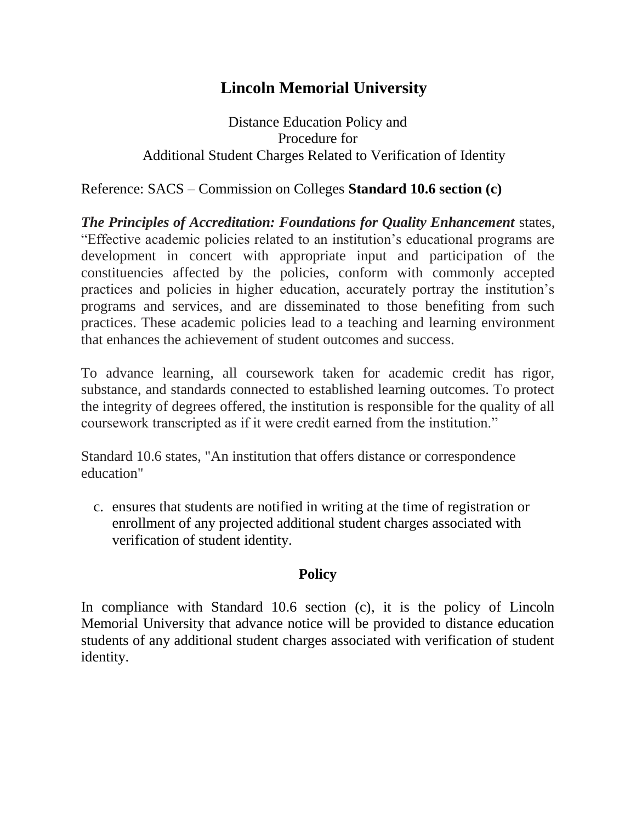## **Lincoln Memorial University**

Distance Education Policy and Procedure for Additional Student Charges Related to Verification of Identity

Reference: SACS – Commission on Colleges **Standard 10.6 section (c)**

*The Principles of Accreditation: Foundations for Quality Enhancement* states, "Effective academic policies related to an institution's educational programs are development in concert with appropriate input and participation of the constituencies affected by the policies, conform with commonly accepted practices and policies in higher education, accurately portray the institution's programs and services, and are disseminated to those benefiting from such practices. These academic policies lead to a teaching and learning environment that enhances the achievement of student outcomes and success.

To advance learning, all coursework taken for academic credit has rigor, substance, and standards connected to established learning outcomes. To protect the integrity of degrees offered, the institution is responsible for the quality of all coursework transcripted as if it were credit earned from the institution."

Standard 10.6 states, "An institution that offers distance or correspondence education"

c. ensures that students are notified in writing at the time of registration or enrollment of any projected additional student charges associated with verification of student identity.

## **Policy**

In compliance with Standard 10.6 section (c), it is the policy of Lincoln Memorial University that advance notice will be provided to distance education students of any additional student charges associated with verification of student identity.